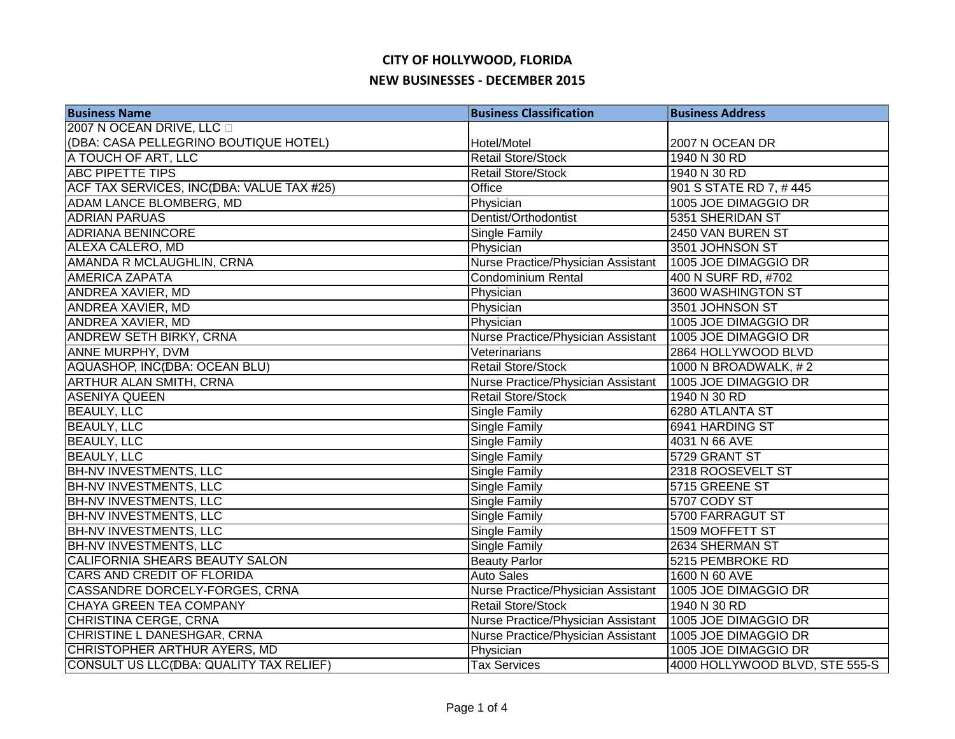| <b>Business Name</b>                      | <b>Business Classification</b>     | <b>Business Address</b>        |
|-------------------------------------------|------------------------------------|--------------------------------|
| 2007 N OCEAN DRIVE, LLC                   |                                    |                                |
| (DBA: CASA PELLEGRINO BOUTIQUE HOTEL)     | Hotel/Motel                        | 2007 N OCEAN DR                |
| A TOUCH OF ART, LLC                       | <b>Retail Store/Stock</b>          | 1940 N 30 RD                   |
| <b>ABC PIPETTE TIPS</b>                   | <b>Retail Store/Stock</b>          | 1940 N 30 RD                   |
| ACF TAX SERVICES, INC(DBA: VALUE TAX #25) | Office                             | 901 S STATE RD 7, #445         |
| ADAM LANCE BLOMBERG, MD                   | Physician                          | 1005 JOE DIMAGGIO DR           |
| <b>ADRIAN PARUAS</b>                      | Dentist/Orthodontist               | 5351 SHERIDAN ST               |
| <b>ADRIANA BENINCORE</b>                  | Single Family                      | 2450 VAN BUREN ST              |
| ALEXA CALERO, MD                          | Physician                          | 3501 JOHNSON ST                |
| AMANDA R MCLAUGHLIN, CRNA                 | Nurse Practice/Physician Assistant | 1005 JOE DIMAGGIO DR           |
| <b>AMERICA ZAPATA</b>                     | <b>Condominium Rental</b>          | 400 N SURF RD, #702            |
| ANDREA XAVIER, MD                         | Physician                          | 3600 WASHINGTON ST             |
| ANDREA XAVIER, MD                         | Physician                          | 3501 JOHNSON ST                |
| ANDREA XAVIER, MD                         | Physician                          | 1005 JOE DIMAGGIO DR           |
| ANDREW SETH BIRKY, CRNA                   | Nurse Practice/Physician Assistant | 1005 JOE DIMAGGIO DR           |
| ANNE MURPHY, DVM                          | Veterinarians                      | 2864 HOLLYWOOD BLVD            |
| AQUASHOP, INC(DBA: OCEAN BLU)             | <b>Retail Store/Stock</b>          | 1000 N BROADWALK, #2           |
| <b>ARTHUR ALAN SMITH, CRNA</b>            | Nurse Practice/Physician Assistant | 1005 JOE DIMAGGIO DR           |
| <b>ASENIYA QUEEN</b>                      | <b>Retail Store/Stock</b>          | 1940 N 30 RD                   |
| <b>BEAULY, LLC</b>                        | <b>Single Family</b>               | 6280 ATLANTA ST                |
| <b>BEAULY, LLC</b>                        | Single Family                      | 6941 HARDING ST                |
| <b>BEAULY, LLC</b>                        | Single Family                      | 4031 N 66 AVE                  |
| <b>BEAULY, LLC</b>                        | Single Family                      | 5729 GRANT ST                  |
| <b>BH-NV INVESTMENTS, LLC</b>             | Single Family                      | 2318 ROOSEVELT ST              |
| <b>BH-NV INVESTMENTS, LLC</b>             | Single Family                      | 5715 GREENE ST                 |
| <b>BH-NV INVESTMENTS, LLC</b>             | Single Family                      | 5707 CODY ST                   |
| <b>BH-NV INVESTMENTS, LLC</b>             | Single Family                      | 5700 FARRAGUT ST               |
| <b>BH-NV INVESTMENTS, LLC</b>             | Single Family                      | 1509 MOFFETT ST                |
| BH-NV INVESTMENTS, LLC                    | Single Family                      | 2634 SHERMAN ST                |
| CALIFORNIA SHEARS BEAUTY SALON            | <b>Beauty Parlor</b>               | 5215 PEMBROKE RD               |
| CARS AND CREDIT OF FLORIDA                | <b>Auto Sales</b>                  | 1600 N 60 AVE                  |
| CASSANDRE DORCELY-FORGES, CRNA            | Nurse Practice/Physician Assistant | 1005 JOE DIMAGGIO DR           |
| CHAYA GREEN TEA COMPANY                   | <b>Retail Store/Stock</b>          | 1940 N 30 RD                   |
| <b>CHRISTINA CERGE, CRNA</b>              | Nurse Practice/Physician Assistant | 1005 JOE DIMAGGIO DR           |
| CHRISTINE L DANESHGAR, CRNA               | Nurse Practice/Physician Assistant | 1005 JOE DIMAGGIO DR           |
| CHRISTOPHER ARTHUR AYERS, MD              | Physician                          | 1005 JOE DIMAGGIO DR           |
| CONSULT US LLC(DBA: QUALITY TAX RELIEF)   | <b>Tax Services</b>                | 4000 HOLLYWOOD BLVD, STE 555-S |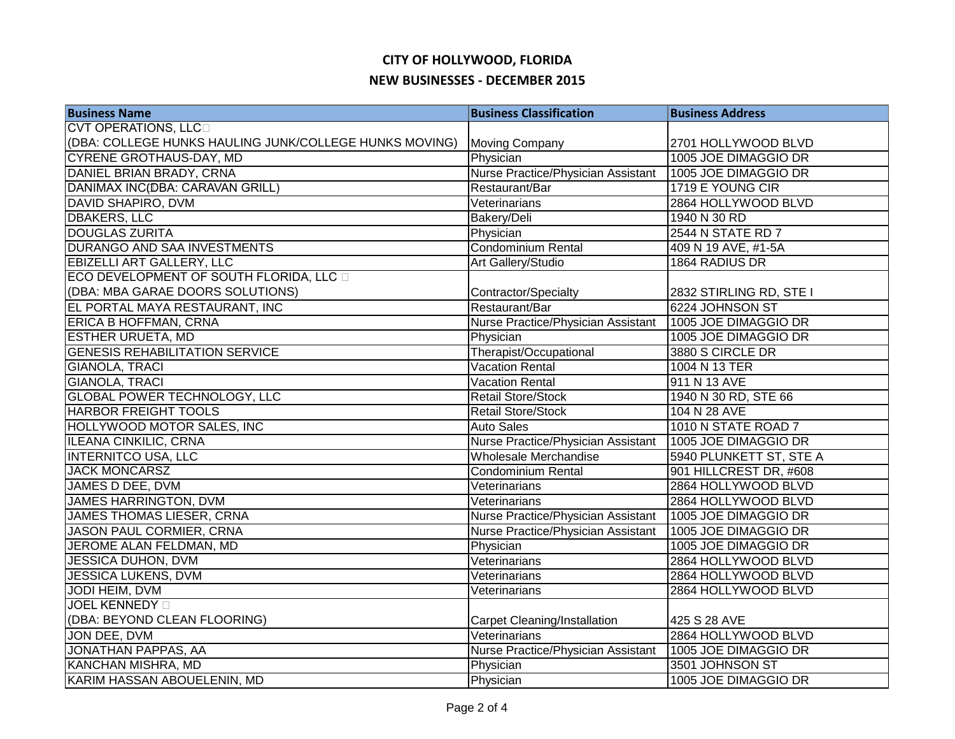| <b>Business Name</b>                                   | <b>Business Classification</b>     | <b>Business Address</b> |
|--------------------------------------------------------|------------------------------------|-------------------------|
| <b>CVT OPERATIONS, LLCD</b>                            |                                    |                         |
| (DBA: COLLEGE HUNKS HAULING JUNK/COLLEGE HUNKS MOVING) | <b>Moving Company</b>              | 2701 HOLLYWOOD BLVD     |
| <b>CYRENE GROTHAUS-DAY, MD</b>                         | Physician                          | 1005 JOE DIMAGGIO DR    |
| DANIEL BRIAN BRADY, CRNA                               | Nurse Practice/Physician Assistant | 1005 JOE DIMAGGIO DR    |
| DANIMAX INC(DBA: CARAVAN GRILL)                        | Restaurant/Bar                     | 1719 E YOUNG CIR        |
| <b>DAVID SHAPIRO, DVM</b>                              | Veterinarians                      | 2864 HOLLYWOOD BLVD     |
| <b>DBAKERS, LLC</b>                                    | Bakery/Deli                        | 1940 N 30 RD            |
| <b>DOUGLAS ZURITA</b>                                  | Physician                          | 2544 N STATE RD 7       |
| DURANGO AND SAA INVESTMENTS                            | <b>Condominium Rental</b>          | 409 N 19 AVE, #1-5A     |
| <b>EBIZELLI ART GALLERY, LLC</b>                       | Art Gallery/Studio                 | 1864 RADIUS DR          |
| ECO DEVELOPMENT OF SOUTH FLORIDA, LLC                  |                                    |                         |
| (DBA: MBA GARAE DOORS SOLUTIONS)                       | Contractor/Specialty               | 2832 STIRLING RD, STE I |
| EL PORTAL MAYA RESTAURANT, INC                         | Restaurant/Bar                     | 6224 JOHNSON ST         |
| ERICA B HOFFMAN, CRNA                                  | Nurse Practice/Physician Assistant | 1005 JOE DIMAGGIO DR    |
| <b>ESTHER URUETA, MD</b>                               | Physician                          | 1005 JOE DIMAGGIO DR    |
| <b>GENESIS REHABILITATION SERVICE</b>                  | Therapist/Occupational             | 3880 S CIRCLE DR        |
| <b>GIANOLA, TRACI</b>                                  | <b>Vacation Rental</b>             | 1004 N 13 TER           |
| <b>GIANOLA, TRACI</b>                                  | <b>Vacation Rental</b>             | 911 N 13 AVE            |
| <b>GLOBAL POWER TECHNOLOGY, LLC</b>                    | <b>Retail Store/Stock</b>          | 1940 N 30 RD, STE 66    |
| <b>HARBOR FREIGHT TOOLS</b>                            | <b>Retail Store/Stock</b>          | 104 N 28 AVE            |
| HOLLYWOOD MOTOR SALES, INC                             | <b>Auto Sales</b>                  | 1010 N STATE ROAD 7     |
| <b>ILEANA CINKILIC, CRNA</b>                           | Nurse Practice/Physician Assistant | 1005 JOE DIMAGGIO DR    |
| <b>INTERNITCO USA, LLC</b>                             | Wholesale Merchandise              | 5940 PLUNKETT ST, STE A |
| <b>JACK MONCARSZ</b>                                   | <b>Condominium Rental</b>          | 901 HILLCREST DR, #608  |
| JAMES D DEE, DVM                                       | Veterinarians                      | 2864 HOLLYWOOD BLVD     |
| <b>JAMES HARRINGTON, DVM</b>                           | Veterinarians                      | 2864 HOLLYWOOD BLVD     |
| <b>JAMES THOMAS LIESER, CRNA</b>                       | Nurse Practice/Physician Assistant | 1005 JOE DIMAGGIO DR    |
| <b>JASON PAUL CORMIER, CRNA</b>                        | Nurse Practice/Physician Assistant | 1005 JOE DIMAGGIO DR    |
| JEROME ALAN FELDMAN, MD                                | Physician                          | 1005 JOE DIMAGGIO DR    |
| <b>JESSICA DUHON, DVM</b>                              | Veterinarians                      | 2864 HOLLYWOOD BLVD     |
| JESSICA LUKENS, DVM                                    | Veterinarians                      | 2864 HOLLYWOOD BLVD     |
| JODI HEIM, DVM                                         | Veterinarians                      | 2864 HOLLYWOOD BLVD     |
| <b>JOEL KENNEDY</b>                                    |                                    |                         |
| (DBA: BEYOND CLEAN FLOORING)                           | Carpet Cleaning/Installation       | 425 S 28 AVE            |
| JON DEE, DVM                                           | Veterinarians                      | 2864 HOLLYWOOD BLVD     |
| JONATHAN PAPPAS, AA                                    | Nurse Practice/Physician Assistant | 1005 JOE DIMAGGIO DR    |
| <b>KANCHAN MISHRA, MD</b>                              | Physician                          | 3501 JOHNSON ST         |
| KARIM HASSAN ABOUELENIN, MD                            | Physician                          | 1005 JOE DIMAGGIO DR    |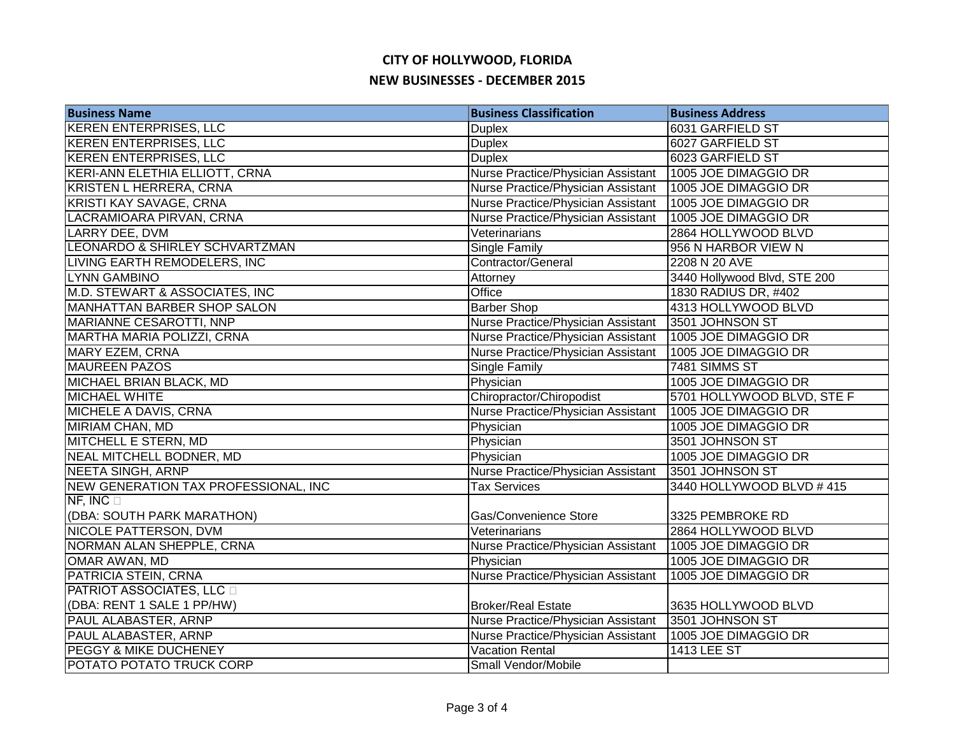| <b>Business Name</b>                 | <b>Business Classification</b>     | <b>Business Address</b>      |
|--------------------------------------|------------------------------------|------------------------------|
| <b>KEREN ENTERPRISES, LLC</b>        | <b>Duplex</b>                      | 6031 GARFIELD ST             |
| <b>KEREN ENTERPRISES, LLC</b>        | <b>Duplex</b>                      | 6027 GARFIELD ST             |
| <b>KEREN ENTERPRISES, LLC</b>        | <b>Duplex</b>                      | 6023 GARFIELD ST             |
| KERI-ANN ELETHIA ELLIOTT, CRNA       | Nurse Practice/Physician Assistant | 1005 JOE DIMAGGIO DR         |
| <b>KRISTEN L HERRERA, CRNA</b>       | Nurse Practice/Physician Assistant | 1005 JOE DIMAGGIO DR         |
| KRISTI KAY SAVAGE, CRNA              | Nurse Practice/Physician Assistant | 1005 JOE DIMAGGIO DR         |
| LACRAMIOARA PIRVAN, CRNA             | Nurse Practice/Physician Assistant | 1005 JOE DIMAGGIO DR         |
| LARRY DEE, DVM                       | Veterinarians                      | 2864 HOLLYWOOD BLVD          |
| LEONARDO & SHIRLEY SCHVARTZMAN       | Single Family                      | 956 N HARBOR VIEW N          |
| <b>LIVING EARTH REMODELERS, INC</b>  | Contractor/General                 | 2208 N 20 AVE                |
| LYNN GAMBINO                         | Attorney                           | 3440 Hollywood Blvd, STE 200 |
| M.D. STEWART & ASSOCIATES, INC       | Office                             | 1830 RADIUS DR, #402         |
| <b>MANHATTAN BARBER SHOP SALON</b>   | <b>Barber Shop</b>                 | 4313 HOLLYWOOD BLVD          |
| <b>MARIANNE CESAROTTI, NNP</b>       | Nurse Practice/Physician Assistant | 3501 JOHNSON ST              |
| MARTHA MARIA POLIZZI, CRNA           | Nurse Practice/Physician Assistant | 1005 JOE DIMAGGIO DR         |
| <b>MARY EZEM, CRNA</b>               | Nurse Practice/Physician Assistant | 1005 JOE DIMAGGIO DR         |
| <b>MAUREEN PAZOS</b>                 | Single Family                      | 7481 SIMMS ST                |
| MICHAEL BRIAN BLACK, MD              | Physician                          | 1005 JOE DIMAGGIO DR         |
| <b>MICHAEL WHITE</b>                 | Chiropractor/Chiropodist           | 5701 HOLLYWOOD BLVD, STE F   |
| <b>MICHELE A DAVIS, CRNA</b>         | Nurse Practice/Physician Assistant | 1005 JOE DIMAGGIO DR         |
| <b>MIRIAM CHAN, MD</b>               | Physician                          | 1005 JOE DIMAGGIO DR         |
| <b>MITCHELL E STERN, MD</b>          | Physician                          | 3501 JOHNSON ST              |
| <b>NEAL MITCHELL BODNER, MD</b>      | Physician                          | 1005 JOE DIMAGGIO DR         |
| <b>NEETA SINGH, ARNP</b>             | Nurse Practice/Physician Assistant | 3501 JOHNSON ST              |
| NEW GENERATION TAX PROFESSIONAL, INC | <b>Tax Services</b>                | 3440 HOLLYWOOD BLVD #415     |
| $NF$ , INC $\square$                 |                                    |                              |
| (DBA: SOUTH PARK MARATHON)           | Gas/Convenience Store              | 3325 PEMBROKE RD             |
| <b>NICOLE PATTERSON, DVM</b>         | Veterinarians                      | 2864 HOLLYWOOD BLVD          |
| NORMAN ALAN SHEPPLE, CRNA            | Nurse Practice/Physician Assistant | 1005 JOE DIMAGGIO DR         |
| OMAR AWAN, MD                        | Physician                          | 1005 JOE DIMAGGIO DR         |
| PATRICIA STEIN, CRNA                 | Nurse Practice/Physician Assistant | 1005 JOE DIMAGGIO DR         |
| <b>PATRIOT ASSOCIATES, LLC</b>       |                                    |                              |
| (DBA: RENT 1 SALE 1 PP/HW)           | <b>Broker/Real Estate</b>          | 3635 HOLLYWOOD BLVD          |
| PAUL ALABASTER, ARNP                 | Nurse Practice/Physician Assistant | 3501 JOHNSON ST              |
| PAUL ALABASTER, ARNP                 | Nurse Practice/Physician Assistant | 1005 JOE DIMAGGIO DR         |
| PEGGY & MIKE DUCHENEY                | Vacation Rental                    | 1413 LEE ST                  |
| POTATO POTATO TRUCK CORP             | Small Vendor/Mobile                |                              |